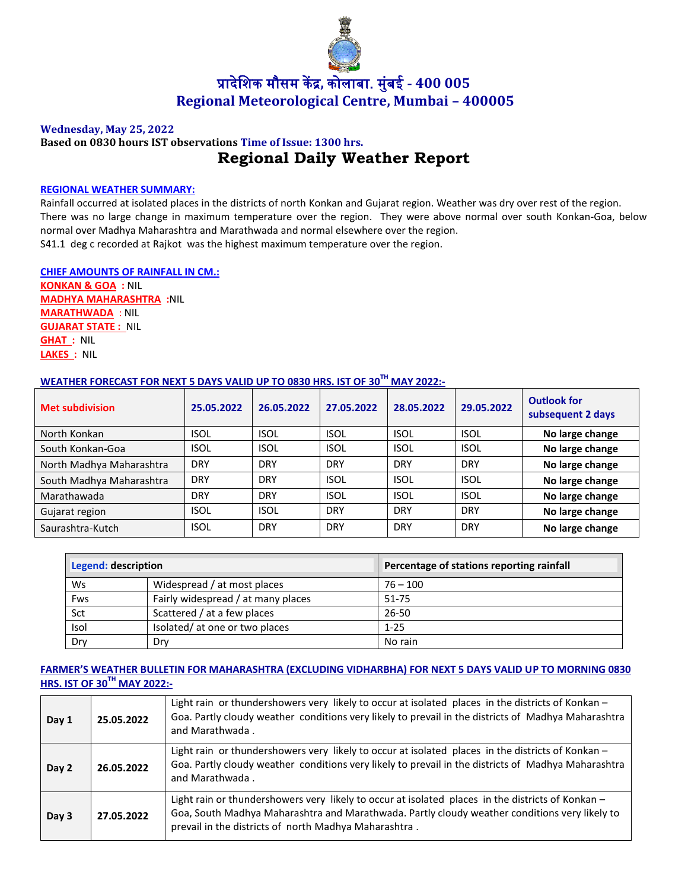

# प्रादेशिक मौसम केंद्र**,** कोलाबा. म ुंबई **- 400 005 Regional Meteorological Centre, Mumbai – 400005**

#### **Wednesday, May 25, 2022**

## **Based on 0830 hours IST observations Time of Issue: 1300 hrs. Regional Daily Weather Report**

#### **REGIONAL WEATHER SUMMARY:**

Rainfall occurred at isolated places in the districts of north Konkan and Gujarat region. Weather was dry over rest of the region. There was no large change in maximum temperature over the region. They were above normal over south Konkan-Goa, below normal over Madhya Maharashtra and Marathwada and normal elsewhere over the region. S41.1 deg c recorded at Rajkot was the highest maximum temperature over the region.

**CHIEF AMOUNTS OF RAINFALL IN CM.: KONKAN & GOA :** NIL **MADHYA MAHARASHTRA :**NIL **MARATHWADA** : NIL **GUJARAT STATE :** NIL **GHAT :** NIL **LAKES :** NIL

## **WEATHER FORECAST FOR NEXT 5 DAYS VALID UP TO 0830 HRS. IST OF 30TH MAY 2022:-**

| <b>Met subdivision</b>   | 25.05.2022  | 26.05.2022  | 27.05.2022  | 28.05.2022  | 29.05.2022  | <b>Outlook for</b><br>subsequent 2 days |
|--------------------------|-------------|-------------|-------------|-------------|-------------|-----------------------------------------|
| North Konkan             | <b>ISOL</b> | <b>ISOL</b> | <b>ISOL</b> | <b>ISOL</b> | <b>ISOL</b> | No large change                         |
| South Konkan-Goa         | <b>ISOL</b> | <b>ISOL</b> | <b>ISOL</b> | <b>ISOL</b> | <b>ISOL</b> | No large change                         |
| North Madhya Maharashtra | <b>DRY</b>  | <b>DRY</b>  | <b>DRY</b>  | <b>DRY</b>  | <b>DRY</b>  | No large change                         |
| South Madhya Maharashtra | <b>DRY</b>  | <b>DRY</b>  | <b>ISOL</b> | <b>ISOL</b> | <b>ISOL</b> | No large change                         |
| Marathawada              | <b>DRY</b>  | <b>DRY</b>  | <b>ISOL</b> | <b>ISOL</b> | <b>ISOL</b> | No large change                         |
| Gujarat region           | <b>ISOL</b> | <b>ISOL</b> | <b>DRY</b>  | <b>DRY</b>  | <b>DRY</b>  | No large change                         |
| Saurashtra-Kutch         | <b>ISOL</b> | <b>DRY</b>  | <b>DRY</b>  | <b>DRY</b>  | <b>DRY</b>  | No large change                         |

| Legend: description |                                    | Percentage of stations reporting rainfall |  |
|---------------------|------------------------------------|-------------------------------------------|--|
| Ws                  | Widespread / at most places        | $76 - 100$                                |  |
| Fws                 | Fairly widespread / at many places | 51-75                                     |  |
| Sct                 | Scattered / at a few places        | $26 - 50$                                 |  |
| Isol                | Isolated/ at one or two places     | $1 - 25$                                  |  |
| Dry                 | Dry                                | No rain                                   |  |

### **FARMER'S WEATHER BULLETIN FOR MAHARASHTRA (EXCLUDING VIDHARBHA) FOR NEXT 5 DAYS VALID UP TO MORNING 0830 HRS. IST OF 30TH MAY 2022:-**

| Day 1 | 25.05.2022 | Light rain or thundershowers very likely to occur at isolated places in the districts of Konkan -<br>Goa. Partly cloudy weather conditions very likely to prevail in the districts of Madhya Maharashtra<br>and Marathwada.                                 |
|-------|------------|-------------------------------------------------------------------------------------------------------------------------------------------------------------------------------------------------------------------------------------------------------------|
| Day 2 | 26.05.2022 | Light rain or thundershowers very likely to occur at isolated places in the districts of Konkan -<br>Goa. Partly cloudy weather conditions very likely to prevail in the districts of Madhya Maharashtra<br>and Marathwada.                                 |
| Day 3 | 27.05.2022 | Light rain or thundershowers very likely to occur at isolated places in the districts of Konkan -<br>Goa, South Madhya Maharashtra and Marathwada. Partly cloudy weather conditions very likely to<br>prevail in the districts of north Madhya Maharashtra. |